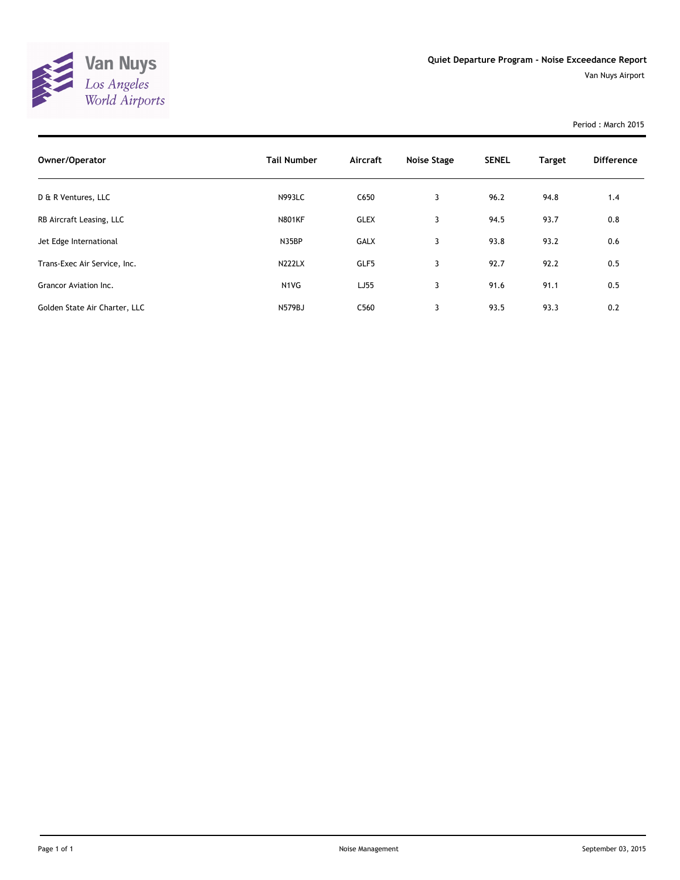

Van Nuys Airport

Period : March 2015

| Owner/Operator                | <b>Tail Number</b>            | Aircraft         | Noise Stage | <b>SENEL</b> | <b>Target</b> | <b>Difference</b> |
|-------------------------------|-------------------------------|------------------|-------------|--------------|---------------|-------------------|
| D & R Ventures, LLC           | <b>N993LC</b>                 | C650             | 3           | 96.2         | 94.8          | 1.4               |
| RB Aircraft Leasing, LLC      | <b>N801KF</b>                 | <b>GLEX</b>      | 3           | 94.5         | 93.7          | 0.8               |
| Jet Edge International        | N35BP                         | <b>GALX</b>      | 3           | 93.8         | 93.2          | 0.6               |
| Trans-Exec Air Service, Inc.  | <b>N222LX</b>                 | GLF5             | 3           | 92.7         | 92.2          | 0.5               |
| Grancor Aviation Inc.         | N <sub>1</sub> V <sub>G</sub> | LJ55             | 3           | 91.6         | 91.1          | 0.5               |
| Golden State Air Charter, LLC | <b>N579BJ</b>                 | C <sub>560</sub> | 3           | 93.5         | 93.3          | 0.2               |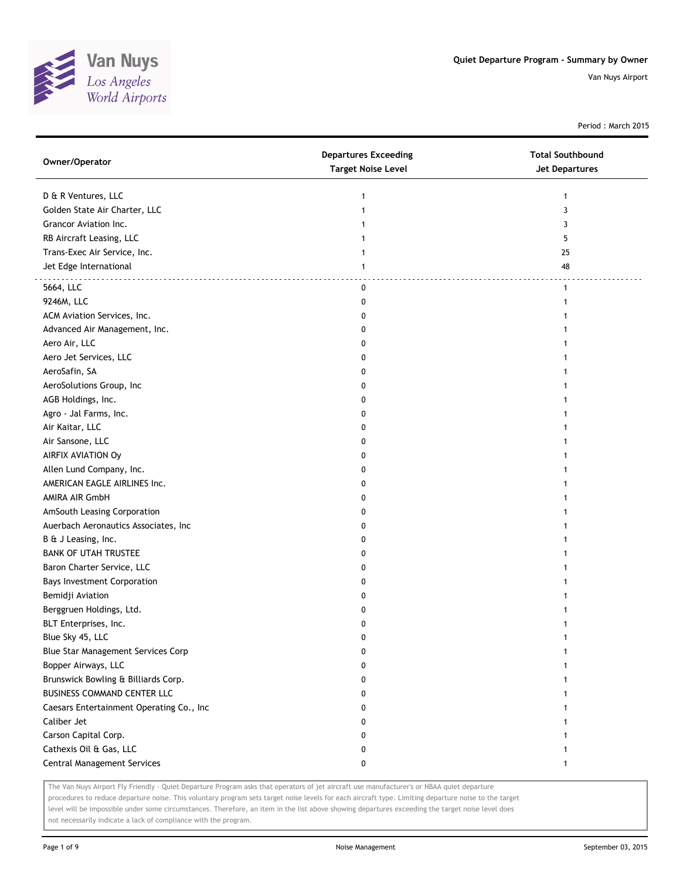

Period : March 2015

| Owner/Operator                           | <b>Departures Exceeding</b><br><b>Target Noise Level</b> | <b>Total Southbound</b><br>Jet Departures |
|------------------------------------------|----------------------------------------------------------|-------------------------------------------|
| D & R Ventures, LLC                      | 1                                                        | 1                                         |
| Golden State Air Charter, LLC            | 1                                                        | 3                                         |
| Grancor Aviation Inc.                    | 1                                                        | 3                                         |
| RB Aircraft Leasing, LLC                 | 1                                                        | 5                                         |
| Trans-Exec Air Service, Inc.             |                                                          | 25                                        |
| Jet Edge International                   | 1                                                        | 48                                        |
| 5664, LLC                                | 0                                                        | $\mathbf{1}$                              |
| 9246M, LLC                               | 0                                                        | 1                                         |
| ACM Aviation Services, Inc.              | 0                                                        |                                           |
| Advanced Air Management, Inc.            | 0                                                        |                                           |
| Aero Air, LLC                            | 0                                                        |                                           |
| Aero Jet Services, LLC                   | 0                                                        |                                           |
| AeroSafin, SA                            | 0                                                        |                                           |
| AeroSolutions Group, Inc                 | 0                                                        |                                           |
| AGB Holdings, Inc.                       | 0                                                        |                                           |
| Agro - Jal Farms, Inc.                   | 0                                                        |                                           |
| Air Kaitar, LLC                          | 0                                                        |                                           |
| Air Sansone, LLC                         | 0                                                        |                                           |
| AIRFIX AVIATION Oy                       | 0                                                        |                                           |
| Allen Lund Company, Inc.                 | 0                                                        |                                           |
| AMERICAN EAGLE AIRLINES Inc.             | 0                                                        |                                           |
| AMIRA AIR GmbH                           | 0                                                        |                                           |
| AmSouth Leasing Corporation              | 0                                                        |                                           |
| Auerbach Aeronautics Associates, Inc     | 0                                                        |                                           |
| B & J Leasing, Inc.                      | 0                                                        |                                           |
| <b>BANK OF UTAH TRUSTEE</b>              | 0                                                        |                                           |
| Baron Charter Service, LLC               | 0                                                        |                                           |
| <b>Bays Investment Corporation</b>       | 0                                                        |                                           |
| Bemidji Aviation                         | 0                                                        |                                           |
| Berggruen Holdings, Ltd.                 | 0                                                        |                                           |
| BLT Enterprises, Inc.                    | 0                                                        |                                           |
| Blue Sky 45, LLC                         | 0                                                        |                                           |
| Blue Star Management Services Corp       | 0                                                        | 1                                         |
| Bopper Airways, LLC                      | 0                                                        |                                           |
| Brunswick Bowling & Billiards Corp.      | 0                                                        |                                           |
| <b>BUSINESS COMMAND CENTER LLC</b>       | 0                                                        |                                           |
| Caesars Entertainment Operating Co., Inc | 0                                                        |                                           |
| Caliber Jet                              | 0                                                        |                                           |
| Carson Capital Corp.                     | 0                                                        |                                           |
| Cathexis Oil & Gas, LLC                  | 0                                                        |                                           |
| Central Management Services              | 0                                                        | 1                                         |
|                                          |                                                          |                                           |

The Van Nuys Airport Fly Friendly - Quiet Departure Program asks that operators of jet aircraft use manufacturer's or NBAA quiet departure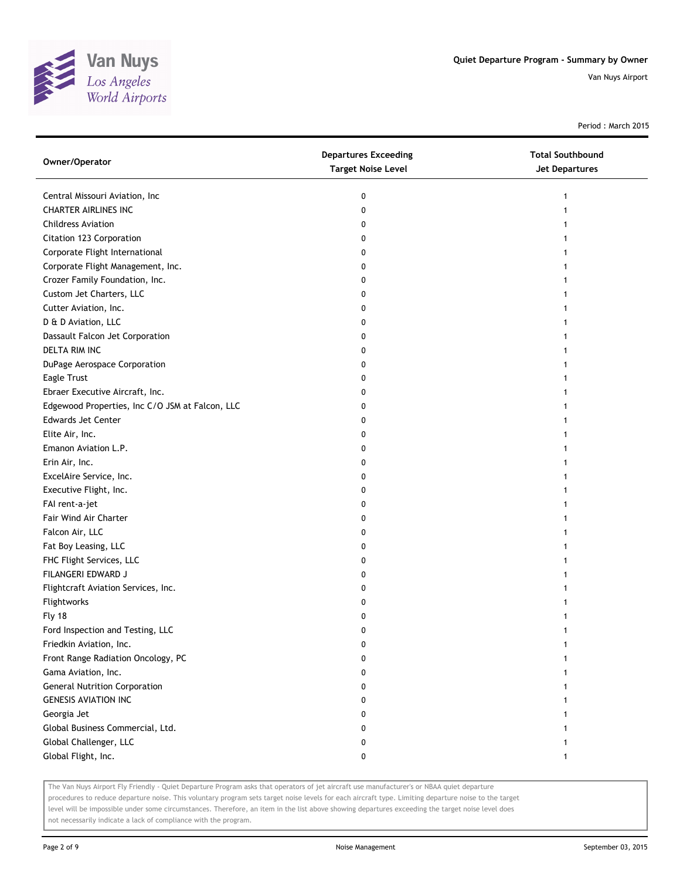

Period : March 2015

| Owner/Operator                                  | <b>Departures Exceeding</b><br><b>Target Noise Level</b> | <b>Total Southbound</b><br><b>Jet Departures</b> |
|-------------------------------------------------|----------------------------------------------------------|--------------------------------------------------|
| Central Missouri Aviation, Inc                  | 0                                                        |                                                  |
| <b>CHARTER AIRLINES INC</b>                     | 0                                                        |                                                  |
| <b>Childress Aviation</b>                       | 0                                                        |                                                  |
| Citation 123 Corporation                        | 0                                                        |                                                  |
| Corporate Flight International                  | 0                                                        |                                                  |
| Corporate Flight Management, Inc.               | 0                                                        |                                                  |
| Crozer Family Foundation, Inc.                  | 0                                                        |                                                  |
| Custom Jet Charters, LLC                        | 0                                                        |                                                  |
| Cutter Aviation, Inc.                           | 0                                                        |                                                  |
| D & D Aviation, LLC                             | 0                                                        |                                                  |
| Dassault Falcon Jet Corporation                 | 0                                                        |                                                  |
| <b>DELTA RIM INC</b>                            | 0                                                        |                                                  |
| DuPage Aerospace Corporation                    | 0                                                        |                                                  |
| Eagle Trust                                     | 0                                                        |                                                  |
| Ebraer Executive Aircraft, Inc.                 | 0                                                        |                                                  |
| Edgewood Properties, Inc C/O JSM at Falcon, LLC | 0                                                        |                                                  |
| <b>Edwards Jet Center</b>                       | 0                                                        |                                                  |
| Elite Air, Inc.                                 | 0                                                        |                                                  |
| Emanon Aviation L.P.                            | 0                                                        |                                                  |
| Erin Air, Inc.                                  | 0                                                        |                                                  |
| ExcelAire Service, Inc.                         | 0                                                        |                                                  |
| Executive Flight, Inc.                          | 0                                                        |                                                  |
| FAI rent-a-jet                                  | 0                                                        |                                                  |
| Fair Wind Air Charter                           | 0                                                        |                                                  |
| Falcon Air, LLC                                 | 0                                                        |                                                  |
| Fat Boy Leasing, LLC                            | 0                                                        |                                                  |
| FHC Flight Services, LLC                        | 0                                                        |                                                  |
| FILANGERI EDWARD J                              | 0                                                        |                                                  |
| Flightcraft Aviation Services, Inc.             | 0                                                        |                                                  |
| Flightworks                                     | 0                                                        |                                                  |
| Fly 18                                          | 0                                                        |                                                  |
| Ford Inspection and Testing, LLC                | 0                                                        |                                                  |
| Friedkin Aviation, Inc.                         | 0                                                        |                                                  |
| Front Range Radiation Oncology, PC              | 0                                                        |                                                  |
| Gama Aviation, Inc.                             | 0                                                        |                                                  |
| <b>General Nutrition Corporation</b>            | 0                                                        |                                                  |
| <b>GENESIS AVIATION INC</b>                     | 0                                                        |                                                  |
| Georgia Jet                                     | 0                                                        |                                                  |
| Global Business Commercial, Ltd.                | 0                                                        |                                                  |
| Global Challenger, LLC                          | 0                                                        |                                                  |
| Global Flight, Inc.                             | 0                                                        | 1                                                |

The Van Nuys Airport Fly Friendly - Quiet Departure Program asks that operators of jet aircraft use manufacturer's or NBAA quiet departure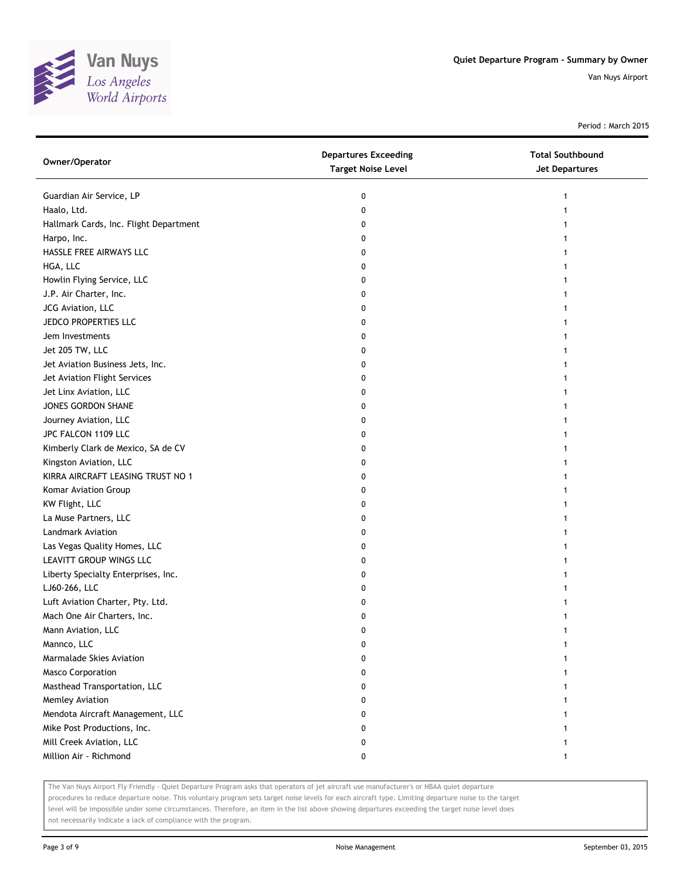

Period : March 2015

| Owner/Operator                         | <b>Departures Exceeding</b><br><b>Target Noise Level</b> | <b>Total Southbound</b><br><b>Jet Departures</b> |
|----------------------------------------|----------------------------------------------------------|--------------------------------------------------|
| Guardian Air Service, LP               | 0                                                        | 1                                                |
| Haalo, Ltd.                            | 0                                                        | 1                                                |
| Hallmark Cards, Inc. Flight Department | 0                                                        |                                                  |
| Harpo, Inc.                            | 0                                                        |                                                  |
| HASSLE FREE AIRWAYS LLC                | 0                                                        |                                                  |
| HGA, LLC                               | 0                                                        |                                                  |
| Howlin Flying Service, LLC             | 0                                                        | 1                                                |
| J.P. Air Charter, Inc.                 | 0                                                        | 1                                                |
| JCG Aviation, LLC                      | 0                                                        | 1                                                |
| JEDCO PROPERTIES LLC                   | 0                                                        |                                                  |
| Jem Investments                        | 0                                                        |                                                  |
| Jet 205 TW, LLC                        | 0                                                        |                                                  |
| Jet Aviation Business Jets, Inc.       | 0                                                        |                                                  |
| Jet Aviation Flight Services           | 0                                                        |                                                  |
| Jet Linx Aviation, LLC                 | 0                                                        |                                                  |
| JONES GORDON SHANE                     | 0                                                        |                                                  |
| Journey Aviation, LLC                  | 0                                                        | 1                                                |
| JPC FALCON 1109 LLC                    | 0                                                        | 1                                                |
| Kimberly Clark de Mexico, SA de CV     | 0                                                        |                                                  |
| Kingston Aviation, LLC                 | 0                                                        |                                                  |
| KIRRA AIRCRAFT LEASING TRUST NO 1      | 0                                                        |                                                  |
| Komar Aviation Group                   | 0                                                        |                                                  |
| KW Flight, LLC                         | 0                                                        |                                                  |
| La Muse Partners, LLC                  | 0                                                        |                                                  |
| <b>Landmark Aviation</b>               | 0                                                        |                                                  |
| Las Vegas Quality Homes, LLC           | 0                                                        |                                                  |
| LEAVITT GROUP WINGS LLC                | 0                                                        | 1                                                |
| Liberty Specialty Enterprises, Inc.    | 0                                                        | 1                                                |
| LJ60-266, LLC                          | 0                                                        |                                                  |
| Luft Aviation Charter, Pty. Ltd.       | 0                                                        |                                                  |
| Mach One Air Charters, Inc.            | 0                                                        |                                                  |
| Mann Aviation, LLC                     | 0                                                        |                                                  |
| Mannco, LLC                            | U                                                        |                                                  |
| Marmalade Skies Aviation               | 0                                                        |                                                  |
| <b>Masco Corporation</b>               | 0                                                        |                                                  |
| Masthead Transportation, LLC           | 0                                                        |                                                  |
| Memley Aviation                        | 0                                                        |                                                  |
| Mendota Aircraft Management, LLC       | 0                                                        |                                                  |
| Mike Post Productions, Inc.            | 0                                                        |                                                  |
| Mill Creek Aviation, LLC               | 0                                                        |                                                  |
| Million Air - Richmond                 | 0                                                        | 1                                                |

The Van Nuys Airport Fly Friendly - Quiet Departure Program asks that operators of jet aircraft use manufacturer's or NBAA quiet departure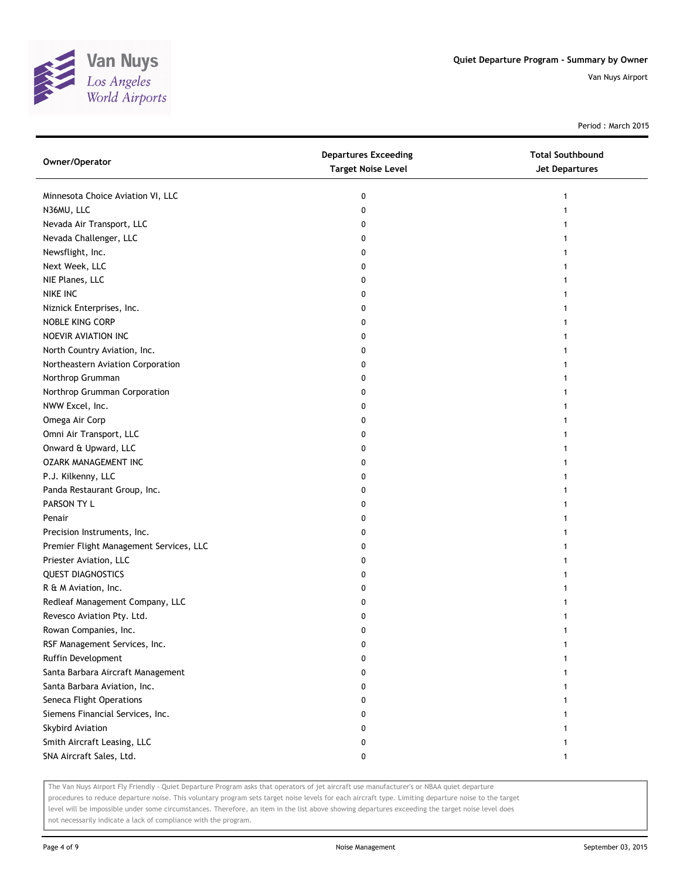

Period : March 2015

| Owner/Operator                          | <b>Departures Exceeding</b><br><b>Target Noise Level</b> | <b>Total Southbound</b><br><b>Jet Departures</b> |
|-----------------------------------------|----------------------------------------------------------|--------------------------------------------------|
| Minnesota Choice Aviation VI, LLC       | 0                                                        | 1                                                |
| N36MU, LLC                              | 0                                                        |                                                  |
| Nevada Air Transport, LLC               | 0                                                        |                                                  |
| Nevada Challenger, LLC                  | 0                                                        |                                                  |
| Newsflight, Inc.                        | 0                                                        |                                                  |
| Next Week, LLC                          | 0                                                        |                                                  |
| NIE Planes, LLC                         | 0                                                        |                                                  |
| NIKE INC                                | 0                                                        |                                                  |
| Niznick Enterprises, Inc.               | 0                                                        |                                                  |
| NOBLE KING CORP                         | 0                                                        |                                                  |
| NOEVIR AVIATION INC                     | 0                                                        |                                                  |
| North Country Aviation, Inc.            | 0                                                        |                                                  |
| Northeastern Aviation Corporation       | 0                                                        |                                                  |
| Northrop Grumman                        | 0                                                        |                                                  |
| Northrop Grumman Corporation            | 0                                                        |                                                  |
| NWW Excel, Inc.                         | 0                                                        |                                                  |
| Omega Air Corp                          | 0                                                        |                                                  |
| Omni Air Transport, LLC                 | 0                                                        |                                                  |
| Onward & Upward, LLC                    | 0                                                        |                                                  |
| <b>OZARK MANAGEMENT INC</b>             | 0                                                        |                                                  |
| P.J. Kilkenny, LLC                      | 0                                                        |                                                  |
| Panda Restaurant Group, Inc.            | 0                                                        |                                                  |
| PARSON TY L                             | 0                                                        |                                                  |
| Penair                                  | 0                                                        |                                                  |
| Precision Instruments, Inc.             | 0                                                        |                                                  |
| Premier Flight Management Services, LLC | 0                                                        |                                                  |
| Priester Aviation, LLC                  | 0                                                        |                                                  |
| <b>QUEST DIAGNOSTICS</b>                | 0                                                        |                                                  |
| R & M Aviation, Inc.                    | 0                                                        |                                                  |
| Redleaf Management Company, LLC         | 0                                                        |                                                  |
| Revesco Aviation Pty. Ltd.              | 0                                                        |                                                  |
| Rowan Companies, Inc.                   | 0                                                        |                                                  |
| RSF Management Services, Inc.           | 0                                                        |                                                  |
| Ruffin Development                      | 0                                                        |                                                  |
| Santa Barbara Aircraft Management       | 0                                                        |                                                  |
| Santa Barbara Aviation, Inc.            | 0                                                        |                                                  |
| Seneca Flight Operations                | 0                                                        |                                                  |
| Siemens Financial Services, Inc.        | 0                                                        |                                                  |
| Skybird Aviation                        | 0                                                        |                                                  |
| Smith Aircraft Leasing, LLC             | 0                                                        |                                                  |
| SNA Aircraft Sales, Ltd.                | 0                                                        | 1                                                |

The Van Nuys Airport Fly Friendly - Quiet Departure Program asks that operators of jet aircraft use manufacturer's or NBAA quiet departure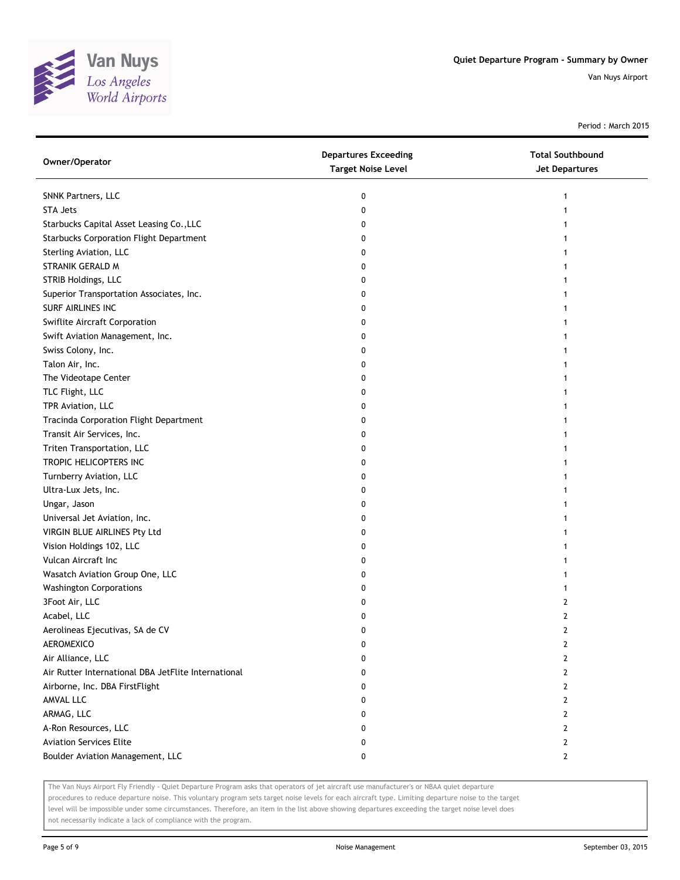

Period : March 2015

| Owner/Operator                                      | <b>Departures Exceeding</b><br><b>Target Noise Level</b> | <b>Total Southbound</b><br>Jet Departures |
|-----------------------------------------------------|----------------------------------------------------------|-------------------------------------------|
| SNNK Partners, LLC                                  | 0                                                        | 1                                         |
| <b>STA Jets</b>                                     | 0                                                        | 1                                         |
| Starbucks Capital Asset Leasing Co., LLC            | 0                                                        |                                           |
| <b>Starbucks Corporation Flight Department</b>      | 0                                                        |                                           |
| Sterling Aviation, LLC                              | 0                                                        |                                           |
| STRANIK GERALD M                                    | 0                                                        |                                           |
| STRIB Holdings, LLC                                 | 0                                                        |                                           |
| Superior Transportation Associates, Inc.            | 0                                                        |                                           |
| SURF AIRLINES INC                                   | 0                                                        |                                           |
| Swiflite Aircraft Corporation                       | 0                                                        |                                           |
| Swift Aviation Management, Inc.                     | 0                                                        |                                           |
| Swiss Colony, Inc.                                  | 0                                                        |                                           |
| Talon Air, Inc.                                     | 0                                                        |                                           |
| The Videotape Center                                | 0                                                        |                                           |
| TLC Flight, LLC                                     | 0                                                        |                                           |
| TPR Aviation, LLC                                   | 0                                                        | 1                                         |
| Tracinda Corporation Flight Department              | 0                                                        | 1                                         |
| Transit Air Services, Inc.                          | 0                                                        | 1                                         |
| Triten Transportation, LLC                          | 0                                                        |                                           |
| TROPIC HELICOPTERS INC                              | 0                                                        |                                           |
| Turnberry Aviation, LLC                             | 0                                                        |                                           |
| Ultra-Lux Jets, Inc.                                | 0                                                        |                                           |
| Ungar, Jason                                        | 0                                                        |                                           |
| Universal Jet Aviation, Inc.                        | 0                                                        |                                           |
| VIRGIN BLUE AIRLINES Pty Ltd                        | 0                                                        |                                           |
| Vision Holdings 102, LLC                            | 0                                                        |                                           |
| Vulcan Aircraft Inc                                 | 0                                                        |                                           |
| Wasatch Aviation Group One, LLC                     | 0                                                        |                                           |
| <b>Washington Corporations</b>                      | 0                                                        | 1                                         |
| 3Foot Air, LLC                                      | 0                                                        | 2                                         |
| Acabel, LLC                                         | 0                                                        | $\overline{2}$                            |
| Aerolineas Ejecutivas, SA de CV                     | 0                                                        | $\overline{2}$                            |
| AEROMEXICO                                          | 0                                                        | 2                                         |
| Air Alliance, LLC                                   | 0                                                        | 2                                         |
| Air Rutter International DBA JetFlite International | 0                                                        | 2                                         |
| Airborne, Inc. DBA FirstFlight                      | 0                                                        | $\mathbf{2}$                              |
| AMVAL LLC                                           | 0                                                        | 2                                         |
| ARMAG, LLC                                          | 0                                                        | 2                                         |
| A-Ron Resources, LLC                                | 0                                                        | 2                                         |
| <b>Aviation Services Elite</b>                      | 0                                                        | $\mathbf{2}$                              |
| Boulder Aviation Management, LLC                    | 0                                                        | $\mathbf{2}$                              |

The Van Nuys Airport Fly Friendly - Quiet Departure Program asks that operators of jet aircraft use manufacturer's or NBAA quiet departure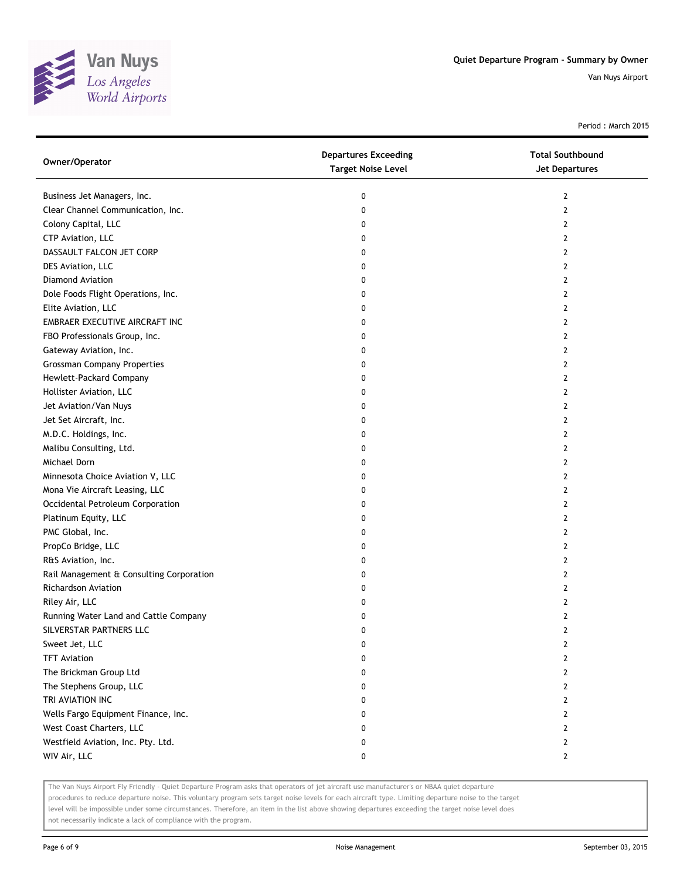

Period : March 2015

| Owner/Operator                           | <b>Departures Exceeding</b><br><b>Target Noise Level</b> | <b>Total Southbound</b><br><b>Jet Departures</b> |
|------------------------------------------|----------------------------------------------------------|--------------------------------------------------|
| Business Jet Managers, Inc.              | 0                                                        | 2                                                |
| Clear Channel Communication, Inc.        | 0                                                        | 2                                                |
| Colony Capital, LLC                      | 0                                                        | 2                                                |
| CTP Aviation, LLC                        | 0                                                        | 2                                                |
| DASSAULT FALCON JET CORP                 | 0                                                        | 2                                                |
| DES Aviation, LLC                        | 0                                                        | 2                                                |
| <b>Diamond Aviation</b>                  | 0                                                        | 2                                                |
| Dole Foods Flight Operations, Inc.       | 0                                                        | 2                                                |
| Elite Aviation, LLC                      | 0                                                        | 2                                                |
| EMBRAER EXECUTIVE AIRCRAFT INC           | 0                                                        | 2                                                |
| FBO Professionals Group, Inc.            | 0                                                        | 2                                                |
| Gateway Aviation, Inc.                   | 0                                                        | 2                                                |
| <b>Grossman Company Properties</b>       | 0                                                        | 2                                                |
| Hewlett-Packard Company                  | 0                                                        | 2                                                |
| Hollister Aviation, LLC                  | 0                                                        | 2                                                |
| Jet Aviation/Van Nuys                    | 0                                                        | 2                                                |
| Jet Set Aircraft, Inc.                   | 0                                                        | 2                                                |
| M.D.C. Holdings, Inc.                    | 0                                                        | 2                                                |
| Malibu Consulting, Ltd.                  | 0                                                        | 2                                                |
| Michael Dorn                             | 0                                                        | 2                                                |
| Minnesota Choice Aviation V, LLC         | 0                                                        | 2                                                |
| Mona Vie Aircraft Leasing, LLC           | 0                                                        | 2                                                |
| Occidental Petroleum Corporation         | 0                                                        | 2                                                |
| Platinum Equity, LLC                     | 0                                                        | 2                                                |
| PMC Global, Inc.                         | 0                                                        | 2                                                |
| PropCo Bridge, LLC                       | 0                                                        | 2                                                |
| R&S Aviation, Inc.                       | 0                                                        | 2                                                |
| Rail Management & Consulting Corporation | 0                                                        | 2                                                |
| Richardson Aviation                      | 0                                                        | 2                                                |
| Riley Air, LLC                           | 0                                                        | 2                                                |
| Running Water Land and Cattle Company    | 0                                                        | 2                                                |
| SILVERSTAR PARTNERS LLC                  | 0                                                        | 2                                                |
| Sweet Jet, LLC                           | o                                                        | $\mathbf{z}$                                     |
| <b>TFT Aviation</b>                      | 0                                                        | 2                                                |
| The Brickman Group Ltd                   | 0                                                        | $\overline{2}$                                   |
| The Stephens Group, LLC                  | 0                                                        | 2                                                |
| TRI AVIATION INC                         | 0                                                        | 2                                                |
| Wells Fargo Equipment Finance, Inc.      | 0                                                        | 2                                                |
| West Coast Charters, LLC                 | 0                                                        | 2                                                |
| Westfield Aviation, Inc. Pty. Ltd.       | 0                                                        | 2                                                |
| WIV Air, LLC                             | 0                                                        | 2                                                |

The Van Nuys Airport Fly Friendly - Quiet Departure Program asks that operators of jet aircraft use manufacturer's or NBAA quiet departure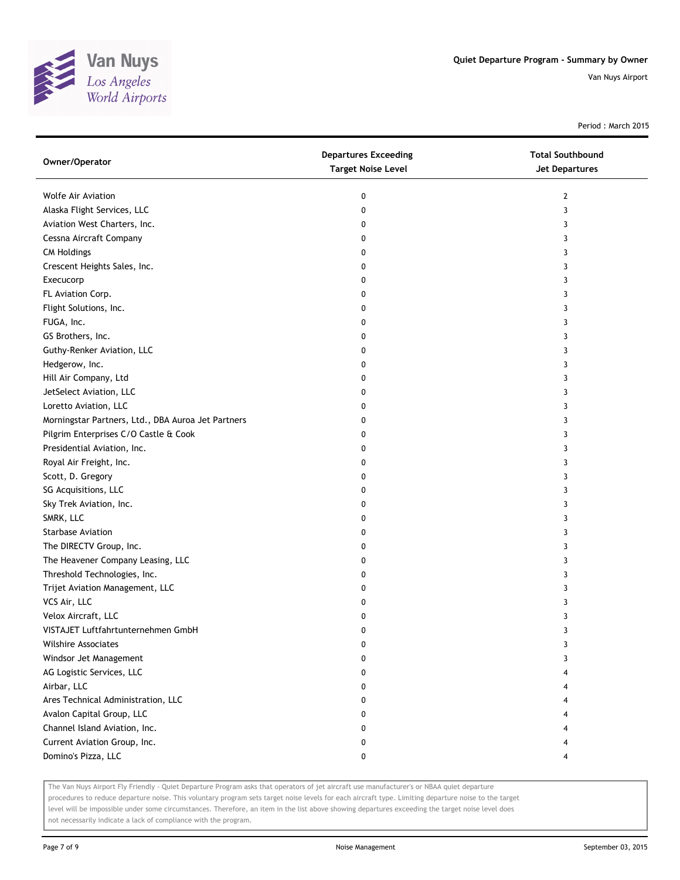

Period : March 2015

| Owner/Operator                                     | <b>Departures Exceeding</b><br><b>Target Noise Level</b> | <b>Total Southbound</b><br>Jet Departures |
|----------------------------------------------------|----------------------------------------------------------|-------------------------------------------|
| <b>Wolfe Air Aviation</b>                          | 0                                                        | 2                                         |
| Alaska Flight Services, LLC                        | 0                                                        | 3                                         |
| Aviation West Charters, Inc.                       | 0                                                        | 3                                         |
| Cessna Aircraft Company                            | 0                                                        | 3                                         |
| <b>CM Holdings</b>                                 | 0                                                        | 3                                         |
| Crescent Heights Sales, Inc.                       | 0                                                        | 3                                         |
| Execucorp                                          | 0                                                        | 3                                         |
| FL Aviation Corp.                                  | 0                                                        | 3                                         |
| Flight Solutions, Inc.                             | 0                                                        | 3                                         |
| FUGA, Inc.                                         | 0                                                        | 3                                         |
| GS Brothers, Inc.                                  | 0                                                        | 3                                         |
| Guthy-Renker Aviation, LLC                         | 0                                                        | 3                                         |
| Hedgerow, Inc.                                     | 0                                                        | 3                                         |
| Hill Air Company, Ltd                              | 0                                                        | 3                                         |
| JetSelect Aviation, LLC                            | 0                                                        | 3                                         |
| Loretto Aviation, LLC                              | 0                                                        | 3                                         |
| Morningstar Partners, Ltd., DBA Auroa Jet Partners | 0                                                        | 3                                         |
| Pilgrim Enterprises C/O Castle & Cook              | 0                                                        | 3                                         |
| Presidential Aviation, Inc.                        | 0                                                        | 3                                         |
| Royal Air Freight, Inc.                            | 0                                                        | 3                                         |
| Scott, D. Gregory                                  | 0                                                        | 3                                         |
| SG Acquisitions, LLC                               | 0                                                        | 3                                         |
| Sky Trek Aviation, Inc.                            | 0                                                        | 3                                         |
| SMRK, LLC                                          | 0                                                        | 3                                         |
| <b>Starbase Aviation</b>                           | 0                                                        | 3                                         |
| The DIRECTV Group, Inc.                            | 0                                                        | 3                                         |
| The Heavener Company Leasing, LLC                  | 0                                                        | 3                                         |
| Threshold Technologies, Inc.                       | 0                                                        | 3                                         |
| Trijet Aviation Management, LLC                    | 0                                                        | 3                                         |
| VCS Air, LLC                                       | 0                                                        | 3                                         |
| Velox Aircraft, LLC                                | 0                                                        | 3                                         |
| VISTAJET Luftfahrtunternehmen GmbH                 | 0                                                        | 3                                         |
| <b>Wilshire Associates</b>                         | 0                                                        | 3                                         |
| Windsor Jet Management                             | 0                                                        | 3                                         |
| AG Logistic Services, LLC                          | 0                                                        | 4                                         |
| Airbar, LLC                                        | 0                                                        | 4                                         |
| Ares Technical Administration, LLC                 | 0                                                        | 4                                         |
| Avalon Capital Group, LLC                          | 0                                                        | 4                                         |
| Channel Island Aviation, Inc.                      | 0                                                        |                                           |
| Current Aviation Group, Inc.                       | 0                                                        | 4                                         |
| Domino's Pizza, LLC                                | 0                                                        | 4                                         |

The Van Nuys Airport Fly Friendly - Quiet Departure Program asks that operators of jet aircraft use manufacturer's or NBAA quiet departure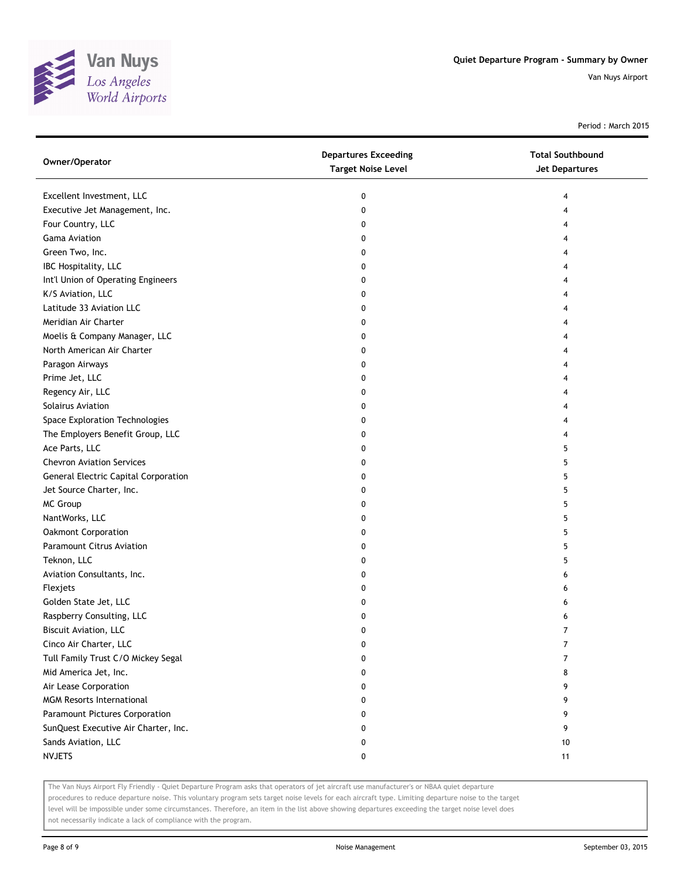

Period : March 2015

| Owner/Operator                       | <b>Departures Exceeding</b><br><b>Target Noise Level</b> | <b>Total Southbound</b><br><b>Jet Departures</b> |
|--------------------------------------|----------------------------------------------------------|--------------------------------------------------|
| Excellent Investment, LLC            | 0                                                        | 4                                                |
| Executive Jet Management, Inc.       | 0                                                        | 4                                                |
| Four Country, LLC                    | 0                                                        | 4                                                |
| <b>Gama Aviation</b>                 | 0                                                        | 4                                                |
| Green Two, Inc.                      | 0                                                        | 4                                                |
| IBC Hospitality, LLC                 | 0                                                        | 4                                                |
| Int'l Union of Operating Engineers   | 0                                                        | 4                                                |
| K/S Aviation, LLC                    | 0                                                        | 4                                                |
| Latitude 33 Aviation LLC             | 0                                                        | 4                                                |
| Meridian Air Charter                 | 0                                                        | 4                                                |
| Moelis & Company Manager, LLC        | 0                                                        | 4                                                |
| North American Air Charter           | 0                                                        |                                                  |
| Paragon Airways                      | 0                                                        | 4                                                |
| Prime Jet, LLC                       | 0                                                        | 4                                                |
| Regency Air, LLC                     | 0                                                        | 4                                                |
| Solairus Aviation                    | 0                                                        | 4                                                |
| Space Exploration Technologies       | 0                                                        | 4                                                |
| The Employers Benefit Group, LLC     | 0                                                        | 4                                                |
| Ace Parts, LLC                       | 0                                                        | 5                                                |
| <b>Chevron Aviation Services</b>     | 0                                                        | 5                                                |
| General Electric Capital Corporation | 0                                                        | 5                                                |
| Jet Source Charter, Inc.             | 0                                                        | 5                                                |
| MC Group                             | 0                                                        | 5                                                |
| NantWorks, LLC                       | 0                                                        | 5                                                |
| Oakmont Corporation                  | 0                                                        | 5                                                |
| Paramount Citrus Aviation            | 0                                                        | 5                                                |
| Teknon, LLC                          | 0                                                        | 5                                                |
| Aviation Consultants, Inc.           | 0                                                        | 6                                                |
| Flexjets                             | 0                                                        | 6                                                |
| Golden State Jet, LLC                | 0                                                        | 6                                                |
| Raspberry Consulting, LLC            | 0                                                        | 6                                                |
| Biscuit Aviation, LLC                | 0                                                        | $\overline{7}$                                   |
| Cinco Air Charter, LLC               | 0                                                        |                                                  |
| Tull Family Trust C/O Mickey Segal   | 0                                                        | 7                                                |
| Mid America Jet, Inc.                | 0                                                        | 8                                                |
| Air Lease Corporation                | 0                                                        | 9                                                |
| <b>MGM Resorts International</b>     | 0                                                        | 9                                                |
| Paramount Pictures Corporation       | 0                                                        | 9                                                |
| SunQuest Executive Air Charter, Inc. | 0                                                        | 9                                                |
| Sands Aviation, LLC                  | 0                                                        | 10                                               |
| <b>NVJETS</b>                        | 0                                                        | 11                                               |

The Van Nuys Airport Fly Friendly - Quiet Departure Program asks that operators of jet aircraft use manufacturer's or NBAA quiet departure